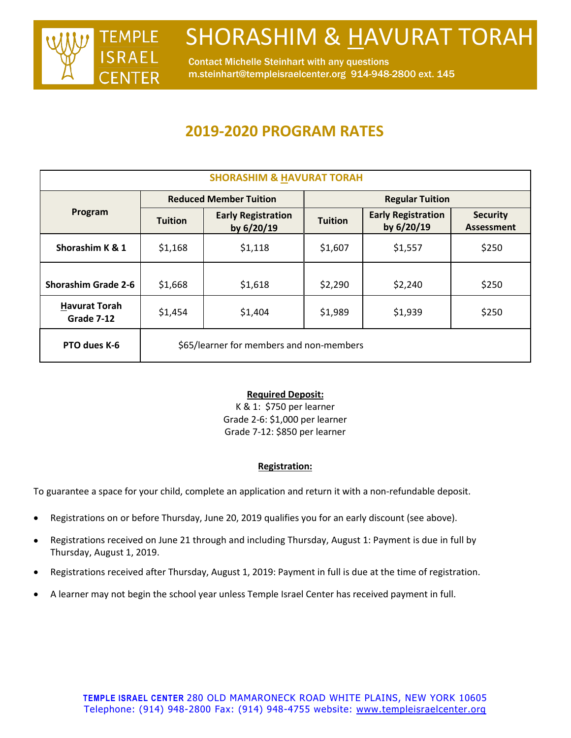

Contact Michelle Steinhart with any questions m.steinhart@templeisraelcenter.org 914-948-2800 ext. 145

### **2019-2020 PROGRAM RATES**

| <b>SHORASHIM &amp; HAVURAT TORAH</b> |                                          |                                         |                        |                                         |                                      |
|--------------------------------------|------------------------------------------|-----------------------------------------|------------------------|-----------------------------------------|--------------------------------------|
| Program                              | <b>Reduced Member Tuition</b>            |                                         | <b>Regular Tuition</b> |                                         |                                      |
|                                      | <b>Tuition</b>                           | <b>Early Registration</b><br>by 6/20/19 | <b>Tuition</b>         | <b>Early Registration</b><br>by 6/20/19 | <b>Security</b><br><b>Assessment</b> |
| Shorashim K & 1                      | \$1,168                                  | \$1,118                                 | \$1,607                | \$1,557                                 | \$250                                |
| <b>Shorashim Grade 2-6</b>           | \$1,668                                  | \$1,618                                 | \$2,290                | \$2,240                                 | \$250                                |
| <b>Havurat Torah</b><br>Grade 7-12   | \$1,454                                  | \$1,404                                 | \$1,989                | \$1,939                                 | \$250                                |
| PTO dues K-6                         | \$65/learner for members and non-members |                                         |                        |                                         |                                      |

### **Required Deposit:**

K & 1: \$750 per learner Grade 2-6: \$1,000 per learner Grade 7-12: \$850 per learner

### **Registration:**

To guarantee a space for your child, complete an application and return it with a non-refundable deposit.

- Registrations on or before Thursday, June 20, 2019 qualifies you for an early discount (see above).
- Registrations received on June 21 through and including Thursday, August 1: Payment is due in full by Thursday, August 1, 2019.
- Registrations received after Thursday, August 1, 2019: Payment in full is due at the time of registration.
- A learner may not begin the school year unless Temple Israel Center has received payment in full.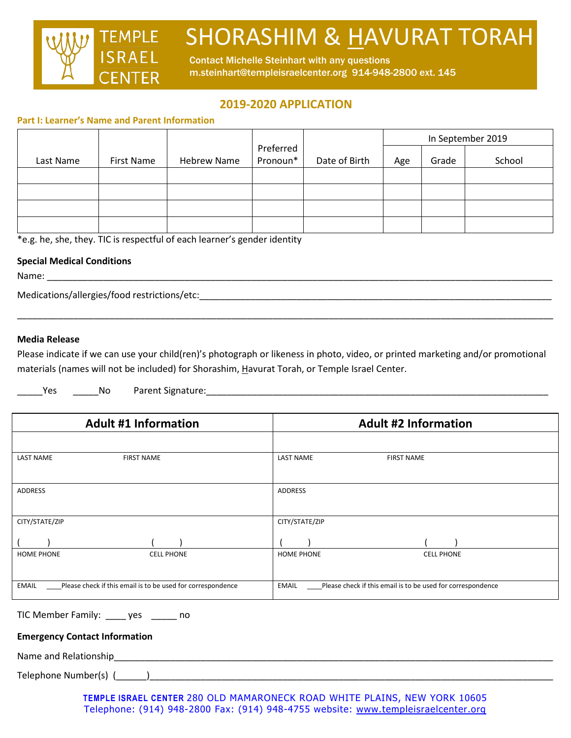

Contact Michelle Steinhart with any questions m.steinhart@templeisraelcenter.org 914-948-2800 ext. 145

### **2019-2020 APPLICATION**

#### **Part I: Learner's Name and Parent Information**

|           |            |                    |                       |               | In September 2019 |       |        |
|-----------|------------|--------------------|-----------------------|---------------|-------------------|-------|--------|
| Last Name | First Name | <b>Hebrew Name</b> | Preferred<br>Pronoun* | Date of Birth | Age               | Grade | School |
|           |            |                    |                       |               |                   |       |        |
|           |            |                    |                       |               |                   |       |        |
|           |            |                    |                       |               |                   |       |        |
|           |            |                    |                       |               |                   |       |        |

\*e.g. he, she, they. TIC is respectful of each learner's gender identity

### **Special Medical Conditions**

Name: \_\_\_\_\_\_\_\_\_\_\_\_\_\_\_\_\_\_\_\_\_\_\_\_\_\_\_\_\_\_\_\_\_\_\_\_\_\_\_\_\_\_\_\_\_\_\_\_\_\_\_\_\_\_\_\_\_\_\_\_\_\_\_\_\_\_\_\_\_\_\_\_\_\_\_\_\_\_\_\_\_\_\_\_\_\_\_\_\_\_\_\_\_\_\_\_\_\_\_

Medications/allergies/food restrictions/etc:\_\_\_\_\_\_\_\_\_\_\_\_\_\_\_\_\_\_\_\_\_\_\_\_\_\_\_\_\_\_\_\_\_\_\_\_\_\_\_\_\_\_\_\_\_\_\_\_\_\_\_\_\_\_\_\_\_\_\_\_\_\_\_\_\_\_\_\_\_

### **Media Release**

Please indicate if we can use your child(ren)'s photograph or likeness in photo, video, or printed marketing and/or promotional materials (names will not be included) for Shorashim, Havurat Torah, or Temple Israel Center.

\_\_\_\_\_\_\_\_\_\_\_\_\_\_\_\_\_\_\_\_\_\_\_\_\_\_\_\_\_\_\_\_\_\_\_\_\_\_\_\_\_\_\_\_\_\_\_\_\_\_\_\_\_\_\_\_\_\_\_\_\_\_\_\_\_\_\_\_\_\_\_\_\_\_\_\_\_\_\_\_\_\_\_\_\_\_\_\_\_\_\_\_\_\_\_\_\_\_\_\_\_\_\_\_\_

\_\_\_\_\_Yes \_\_\_\_\_No Parent Signature:\_\_\_\_\_\_\_\_\_\_\_\_\_\_\_\_\_\_\_\_\_\_\_\_\_\_\_\_\_\_\_\_\_\_\_\_\_\_\_\_\_\_\_\_\_\_\_\_\_\_\_\_\_\_\_\_\_\_\_\_\_\_\_\_\_\_\_

| <b>Adult #1 Information</b>                                                 | <b>Adult #2 Information</b>                                                 |  |  |
|-----------------------------------------------------------------------------|-----------------------------------------------------------------------------|--|--|
|                                                                             |                                                                             |  |  |
| <b>LAST NAME</b><br><b>FIRST NAME</b>                                       | <b>LAST NAME</b><br><b>FIRST NAME</b>                                       |  |  |
| ADDRESS                                                                     | ADDRESS                                                                     |  |  |
| CITY/STATE/ZIP                                                              | CITY/STATE/ZIP                                                              |  |  |
|                                                                             |                                                                             |  |  |
| <b>HOME PHONE</b><br><b>CELL PHONE</b>                                      | <b>HOME PHONE</b><br><b>CELL PHONE</b>                                      |  |  |
| <b>EMAIL</b><br>Please check if this email is to be used for correspondence | Please check if this email is to be used for correspondence<br><b>EMAIL</b> |  |  |

TIC Member Family: \_\_\_\_ yes \_\_\_\_\_ no

### **Emergency Contact Information**

Name and Relationship and the state of the state of the state of the state of the state of the state of the state of the state of the state of the state of the state of the state of the state of the state of the state of t

Telephone Number(s) (\_\_\_\_\_\_)\_\_\_\_\_\_\_\_\_\_\_\_\_\_\_\_\_\_\_\_\_\_\_\_\_\_\_\_\_\_\_\_\_\_\_\_\_\_\_\_\_\_\_\_\_\_\_\_\_\_\_\_\_\_\_\_\_\_\_\_\_\_\_\_\_\_\_\_\_\_\_\_\_\_\_\_\_\_\_

**TEMPLE ISRAEL CENTER** 280 OLD MAMARONECK ROAD WHITE PLAINS, NEW YORK 10605 Telephone: (914) 948-2800 Fax: (914) 948-4755 website: [www.templeisraelcenter.org](http://www.templeisraelcenter.org/)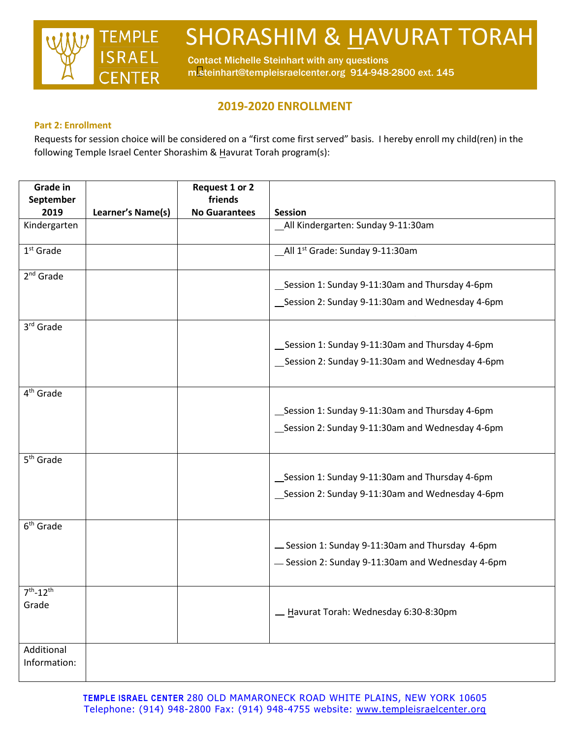

Contact Michelle Steinhart with any questions m.steinhart@templeisraelcenter.org 914-948-2800 ext. 145

### **2019-2020 ENROLLMENT**

### **Part 2: Enrollment**

Requests for session choice will be considered on a "first come first served" basis. I hereby enroll my child(ren) in the following Temple Israel Center Shorashim & Havurat Torah program(s):

| <b>Grade in</b>       |                   | Request 1 or 2                  |                                                  |
|-----------------------|-------------------|---------------------------------|--------------------------------------------------|
| September<br>2019     | Learner's Name(s) | friends<br><b>No Guarantees</b> | <b>Session</b>                                   |
| Kindergarten          |                   |                                 | _All Kindergarten: Sunday 9-11:30am              |
| $1st$ Grade           |                   |                                 | All 1 <sup>st</sup> Grade: Sunday 9-11:30am      |
| $2nd$ Grade           |                   |                                 | _Session 1: Sunday 9-11:30am and Thursday 4-6pm  |
|                       |                   |                                 | _Session 2: Sunday 9-11:30am and Wednesday 4-6pm |
| 3rd Grade             |                   |                                 |                                                  |
|                       |                   |                                 | Session 1: Sunday 9-11:30am and Thursday 4-6pm   |
|                       |                   |                                 | _Session 2: Sunday 9-11:30am and Wednesday 4-6pm |
| 4 <sup>th</sup> Grade |                   |                                 |                                                  |
|                       |                   |                                 | _Session 1: Sunday 9-11:30am and Thursday 4-6pm  |
|                       |                   |                                 | _Session 2: Sunday 9-11:30am and Wednesday 4-6pm |
| 5 <sup>th</sup> Grade |                   |                                 |                                                  |
|                       |                   |                                 | Session 1: Sunday 9-11:30am and Thursday 4-6pm   |
|                       |                   |                                 | _Session 2: Sunday 9-11:30am and Wednesday 4-6pm |
| 6 <sup>th</sup> Grade |                   |                                 |                                                  |
|                       |                   |                                 | -Session 1: Sunday 9-11:30am and Thursday 4-6pm  |
|                       |                   |                                 | -Session 2: Sunday 9-11:30am and Wednesday 4-6pm |
| $7th - 12th$          |                   |                                 |                                                  |
| Grade                 |                   |                                 | - Havurat Torah: Wednesday 6:30-8:30pm           |
| Additional            |                   |                                 |                                                  |
| Information:          |                   |                                 |                                                  |